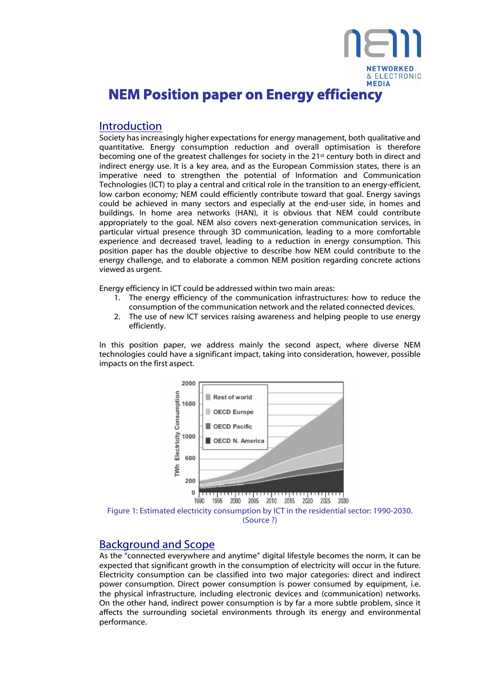

## Introduction

Society has increasingly higher expectations for energy management, both qualitative and quantitative. Energy consumption reduction and overall optimisation is therefore becoming one of the greatest challenges for society in the 21<sup>st</sup> century both in direct and indirect energy use. It is a key area, and as the European Commission states, there is an imperative need to strengthen the potential of Information and Communication Technologies (ICT) to play a central and critical role in the transition to an energy-efficient, low carbon economy; NEM could efficiently contribute toward that goal. Energy savings could be achieved in many sectors and especially at the end-user side, in homes and buildings. In home area networks (HAN), it is obvious that NEM could contribute appropriately to the goal. NEM also covers next-generation communication services, in particular virtual presence through 3D communication, leading to a more comfortable experience and decreased travel, leading to a reduction in energy consumption. This position paper has the double objective to describe how NEM could contribute to the energy challenge, and to elaborate a common NEM position regarding concrete actions viewed as urgent.

Energy efficiency in ICT could be addressed within two main areas:

- 1. The energy efficiency of the communication infrastructures: how to reduce the consumption of the communication network and the related connected devices.
- 2. The use of new ICT services raising awareness and helping people to use energy efficiently.

In this position paper, we address mainly the second aspect, where diverse NEM technologies could have a significant impact, taking into consideration, however, possible impacts on the first aspect.



# Background and Scope

As the "connected everywhere and anytime" digital lifestyle becomes the norm, it can be expected that significant growth in the consumption of electricity will occur in the future. Electricity consumption can be classified into two major categories: direct and indirect power consumption. Direct power consumption is power consumed by equipment, i.e. the physical infrastructure, including electronic devices and (communication) networks. On the other hand, indirect power consumption is by far a more subtle problem, since it affects the surrounding societal environments through its energy and environmental performance.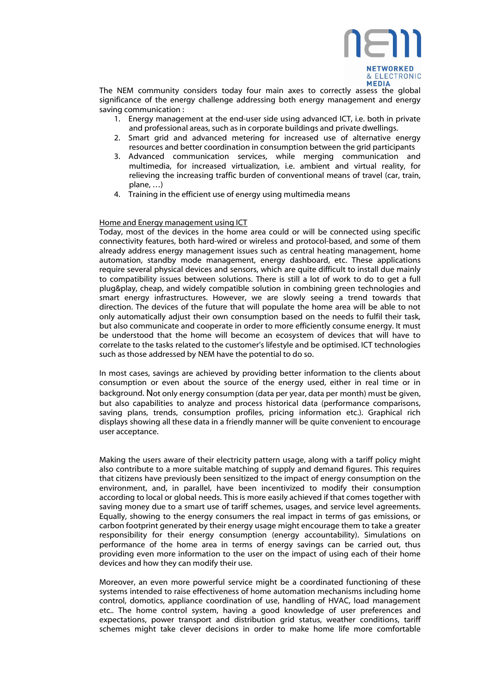

The NEM community considers today four main axes to correctly assess the global significance of the energy challenge addressing both energy management and energy saving communication :

- 1. Energy management at the end-user side using advanced ICT, i.e. both in private and professional areas, such as in corporate buildings and private dwellings.
- 2. Smart grid and advanced metering for increased use of alternative energy resources and better coordination in consumption between the grid participants
- 3. Advanced communication services, while merging communication and multimedia, for increased virtualization, i.e. ambient and virtual reality, for relieving the increasing traffic burden of conventional means of travel (car, train, plane, …)
- 4. Training in the efficient use of energy using multimedia means

### Home and Energy management using ICT

Today, most of the devices in the home area could or will be connected using specific connectivity features, both hard-wired or wireless and protocol-based, and some of them already address energy management issues such as central heating management, home automation, standby mode management, energy dashboard, etc. These applications require several physical devices and sensors, which are quite difficult to install due mainly to compatibility issues between solutions. There is still a lot of work to do to get a full plug&play, cheap, and widely compatible solution in combining green technologies and smart energy infrastructures. However, we are slowly seeing a trend towards that direction. The devices of the future that will populate the home area will be able to not only automatically adjust their own consumption based on the needs to fulfil their task, but also communicate and cooperate in order to more efficiently consume energy. It must be understood that the home will become an ecosystem of devices that will have to correlate to the tasks related to the customer's lifestyle and be optimised. ICT technologies such as those addressed by NEM have the potential to do so.

In most cases, savings are achieved by providing better information to the clients about consumption or even about the source of the energy used, either in real time or in background. Not only energy consumption (data per year, data per month) must be given, but also capabilities to analyze and process historical data (performance comparisons, saving plans, trends, consumption profiles, pricing information etc.). Graphical rich displays showing all these data in a friendly manner will be quite convenient to encourage user acceptance.

Making the users aware of their electricity pattern usage, along with a tariff policy might also contribute to a more suitable matching of supply and demand figures. This requires that citizens have previously been sensitized to the impact of energy consumption on the environment, and, in parallel, have been incentivized to modify their consumption according to local or global needs. This is more easily achieved if that comes together with saving money due to a smart use of tariff schemes, usages, and service level agreements. Equally, showing to the energy consumers the real impact in terms of gas emissions, or carbon footprint generated by their energy usage might encourage them to take a greater responsibility for their energy consumption (energy accountability). Simulations on performance of the home area in terms of energy savings can be carried out, thus providing even more information to the user on the impact of using each of their home devices and how they can modify their use.

Moreover, an even more powerful service might be a coordinated functioning of these systems intended to raise effectiveness of home automation mechanisms including home control, domotics, appliance coordination of use, handling of HVAC, load management etc.. The home control system, having a good knowledge of user preferences and expectations, power transport and distribution grid status, weather conditions, tariff schemes might take clever decisions in order to make home life more comfortable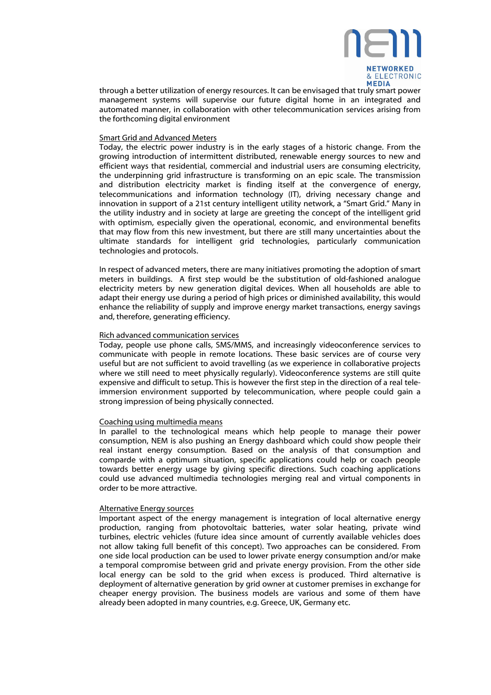

through a better utilization of energy resources. It can be envisaged that truly smart power management systems will supervise our future digital home in an integrated and automated manner, in collaboration with other telecommunication services arising from the forthcoming digital environment

### Smart Grid and Advanced Meters

Today, the electric power industry is in the early stages of a historic change. From the growing introduction of intermittent distributed, renewable energy sources to new and efficient ways that residential, commercial and industrial users are consuming electricity, the underpinning grid infrastructure is transforming on an epic scale. The transmission and distribution electricity market is finding itself at the convergence of energy, telecommunications and information technology (IT), driving necessary change and innovation in support of a 21st century intelligent utility network, a "Smart Grid." Many in the utility industry and in society at large are greeting the concept of the intelligent grid with optimism, especially given the operational, economic, and environmental benefits that may flow from this new investment, but there are still many uncertainties about the ultimate standards for intelligent grid technologies, particularly communication technologies and protocols.

In respect of advanced meters, there are many initiatives promoting the adoption of smart meters in buildings. A first step would be the substitution of old-fashioned analogue electricity meters by new generation digital devices. When all households are able to adapt their energy use during a period of high prices or diminished availability, this would enhance the reliability of supply and improve energy market transactions, energy savings and, therefore, generating efficiency.

#### Rich advanced communication services

Today, people use phone calls, SMS/MMS, and increasingly videoconference services to communicate with people in remote locations. These basic services are of course very useful but are not sufficient to avoid travelling (as we experience in collaborative projects where we still need to meet physically regularly). Videoconference systems are still quite expensive and difficult to setup. This is however the first step in the direction of a real teleimmersion environment supported by telecommunication, where people could gain a strong impression of being physically connected.

### Coaching using multimedia means

In parallel to the technological means which help people to manage their power consumption, NEM is also pushing an Energy dashboard which could show people their real instant energy consumption. Based on the analysis of that consumption and comparde with a optimum situation, specific applications could help or coach people towards better energy usage by giving specific directions. Such coaching applications could use advanced multimedia technologies merging real and virtual components in order to be more attractive.

### Alternative Energy sources

Important aspect of the energy management is integration of local alternative energy production, ranging from photovoltaic batteries, water solar heating, private wind turbines, electric vehicles (future idea since amount of currently available vehicles does not allow taking full benefit of this concept). Two approaches can be considered. From one side local production can be used to lower private energy consumption and/or make a temporal compromise between grid and private energy provision. From the other side local energy can be sold to the grid when excess is produced. Third alternative is deployment of alternative generation by grid owner at customer premises in exchange for cheaper energy provision. The business models are various and some of them have already been adopted in many countries, e.g. Greece, UK, Germany etc.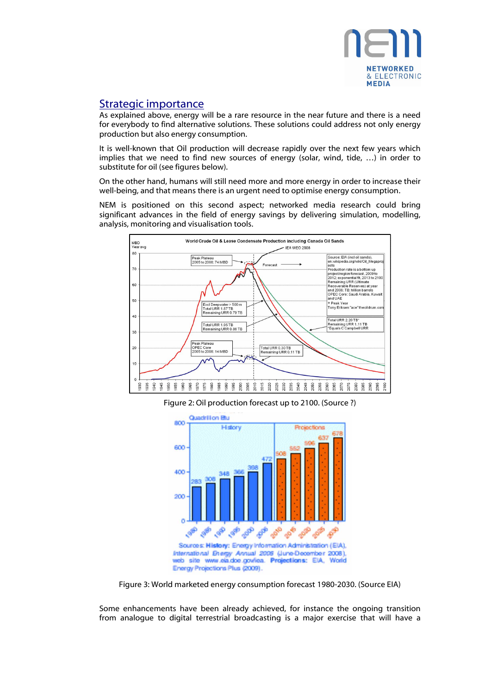

# Strategic importance

As explained above, energy will be a rare resource in the near future and there is a need for everybody to find alternative solutions. These solutions could address not only energy production but also energy consumption.

It is well-known that Oil production will decrease rapidly over the next few years which implies that we need to find new sources of energy (solar, wind, tide, …) in order to substitute for oil (see figures below).

On the other hand, humans will still need more and more energy in order to increase their well-being, and that means there is an urgent need to optimise energy consumption.

NEM is positioned on this second aspect; networked media research could bring significant advances in the field of energy savings by delivering simulation, modelling, analysis, monitoring and visualisation tools.



Figure 2: Oil production forecast up to 2100. (Source ?)



Figure 3: World marketed energy consumption forecast 1980-2030. (Source EIA)

Some enhancements have been already achieved, for instance the ongoing transition from analogue to digital terrestrial broadcasting is a major exercise that will have a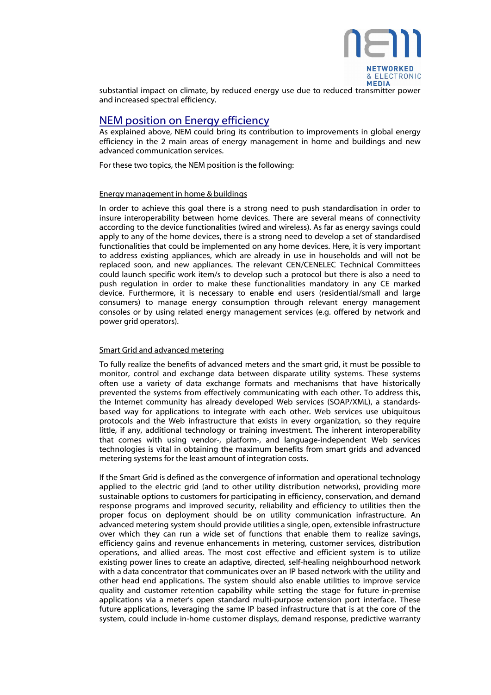

substantial impact on climate, by reduced energy use due to reduced transmitter power and increased spectral efficiency.

## NEM position on Energy efficiency

As explained above, NEM could bring its contribution to improvements in global energy efficiency in the 2 main areas of energy management in home and buildings and new advanced communication services.

For these two topics, the NEM position is the following:

### Energy management in home & buildings

In order to achieve this goal there is a strong need to push standardisation in order to insure interoperability between home devices. There are several means of connectivity according to the device functionalities (wired and wireless). As far as energy savings could apply to any of the home devices, there is a strong need to develop a set of standardised functionalities that could be implemented on any home devices. Here, it is very important to address existing appliances, which are already in use in households and will not be replaced soon, and new appliances. The relevant CEN/CENELEC Technical Committees could launch specific work item/s to develop such a protocol but there is also a need to push regulation in order to make these functionalities mandatory in any CE marked device. Furthermore, it is necessary to enable end users (residential/small and large consumers) to manage energy consumption through relevant energy management consoles or by using related energy management services (e.g. offered by network and power grid operators).

### Smart Grid and advanced metering

To fully realize the benefits of advanced meters and the smart grid, it must be possible to monitor, control and exchange data between disparate utility systems. These systems often use a variety of data exchange formats and mechanisms that have historically prevented the systems from effectively communicating with each other. To address this, the Internet community has already developed Web services (SOAP/XML), a standardsbased way for applications to integrate with each other. Web services use ubiquitous protocols and the Web infrastructure that exists in every organization, so they require little, if any, additional technology or training investment. The inherent interoperability that comes with using vendor-, platform-, and language-independent Web services technologies is vital in obtaining the maximum benefits from smart grids and advanced metering systems for the least amount of integration costs.

If the Smart Grid is defined as the convergence of information and operational technology applied to the electric grid (and to other utility distribution networks), providing more sustainable options to customers for participating in efficiency, conservation, and demand response programs and improved security, reliability and efficiency to utilities then the proper focus on deployment should be on utility communication infrastructure. An advanced metering system should provide utilities a single, open, extensible infrastructure over which they can run a wide set of functions that enable them to realize savings, efficiency gains and revenue enhancements in metering, customer services, distribution operations, and allied areas. The most cost effective and efficient system is to utilize existing power lines to create an adaptive, directed, self-healing neighbourhood network with a data concentrator that communicates over an IP based network with the utility and other head end applications. The system should also enable utilities to improve service quality and customer retention capability while setting the stage for future in-premise applications via a meter's open standard multi-purpose extension port interface. These future applications, leveraging the same IP based infrastructure that is at the core of the system, could include in-home customer displays, demand response, predictive warranty